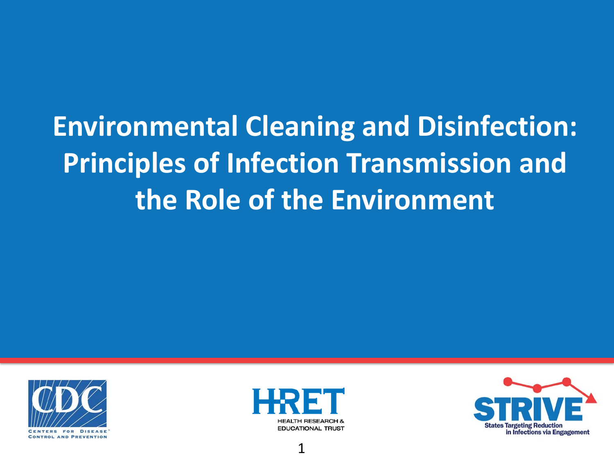#### **Environmental Cleaning and Disinfection: Principles of Infection Transmission and the Role of the Environment**





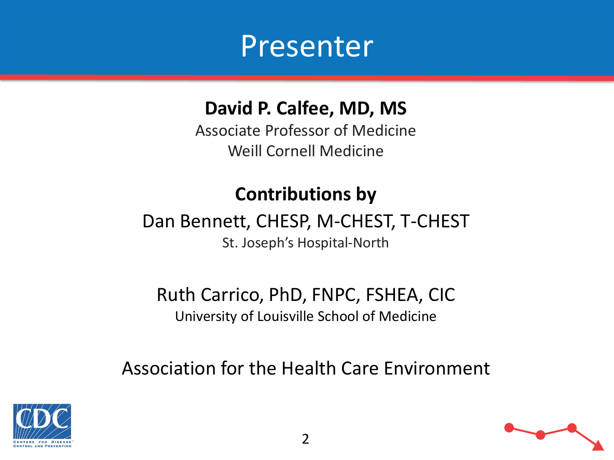

#### **David P. Calfee, MD, MS**

Associate Professor of Medicine Weill Cornell Medicine

#### **Contributions by**

#### Dan Bennett, CHESP, M-CHEST, T-CHEST

St. Joseph's Hospital-North

Ruth Carrico, PhD, FNPC, FSHEA, CIC University of Louisville School of Medicine

Association for the Health Care Environment



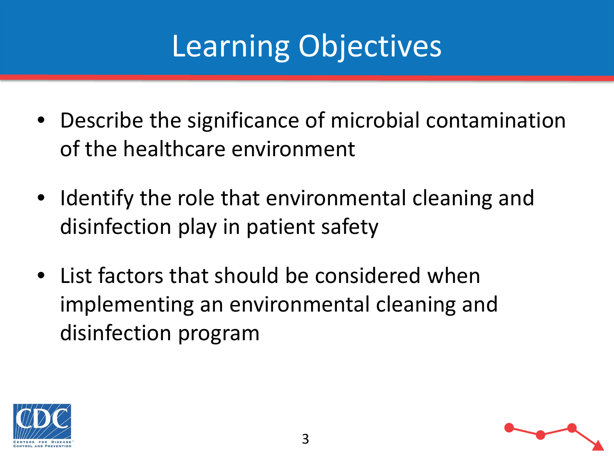## Learning Objectives

- Describe the significance of microbial contamination of the healthcare environment
- Identify the role that environmental cleaning and disinfection play in patient safety
- List factors that should be considered when implementing an environmental cleaning and disinfection program



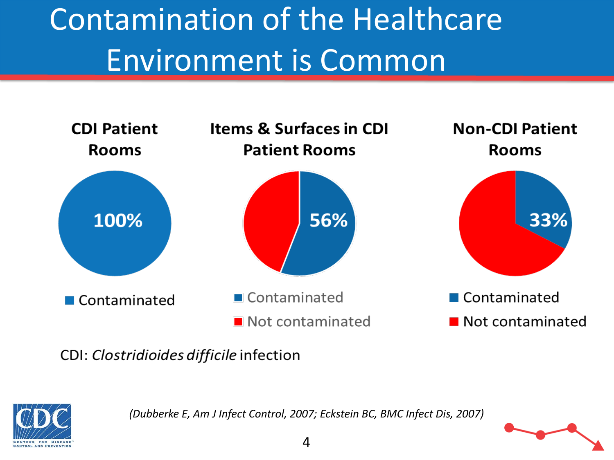## Contamination of the Healthcare Environment is Common



CDI: Clostridioides difficile infection



*(Dubberke E, Am J Infect Control, 2007; Eckstein BC, BMC Infect Dis, 2007)*

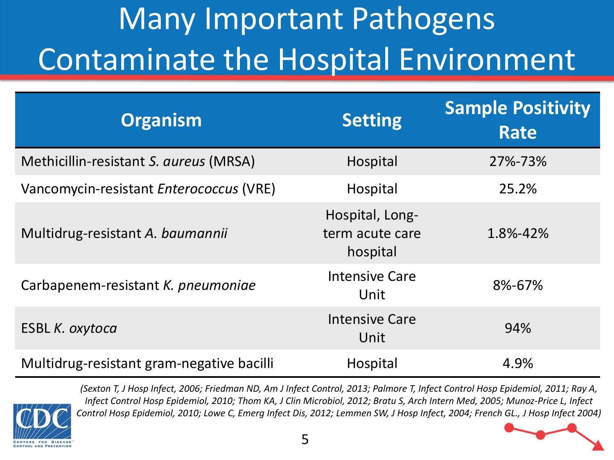## Many Important Pathogens Contaminate the Hospital Environment

| <b>Organism</b>                           | <b>Setting</b>                                 | <b>Sample Positivity</b><br><b>Rate</b> |
|-------------------------------------------|------------------------------------------------|-----------------------------------------|
| Methicillin-resistant S. aureus (MRSA)    | Hospital                                       | 27%-73%                                 |
| Vancomycin-resistant Enterococcus (VRE)   | Hospital                                       | 25.2%                                   |
| Multidrug-resistant A. baumannii          | Hospital, Long-<br>term acute care<br>hospital | 1.8%-42%                                |
| Carbapenem-resistant K. pneumoniae        | <b>Intensive Care</b><br>Unit                  | 8%-67%                                  |
| <b>ESBL K. oxytoca</b>                    | <b>Intensive Care</b><br>Unit                  | 94%                                     |
| Multidrug-resistant gram-negative bacilli | Hospital                                       | 4.9%                                    |



*(Sexton T, J Hosp Infect, 2006; Friedman ND, Am J Infect Control, 2013; Palmore T, Infect Control Hosp Epidemiol, 2011; Ray A, Infect Control Hosp Epidemiol, 2010; Thom KA, J Clin Microbiol, 2012; Bratu S, Arch Intern Med, 2005; Munoz-Price L, Infect Control Hosp Epidemiol, 2010; Lowe C, Emerg Infect Dis, 2012; Lemmen SW, J Hosp Infect, 2004; French GL., J Hosp Infect 2004)*

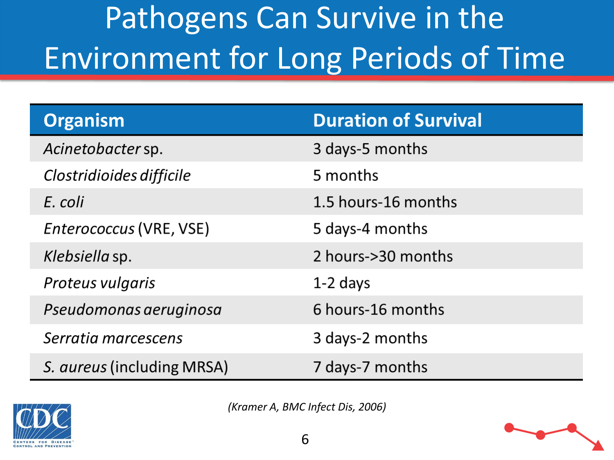## Pathogens Can Survive in the Environment for Long Periods of Time

| <b>Organism</b>            | <b>Duration of Survival</b> |
|----------------------------|-----------------------------|
| Acinetobacter sp.          | 3 days-5 months             |
| Clostridioides difficile   | 5 months                    |
| E. coli                    | 1.5 hours-16 months         |
| Enterococcus (VRE, VSE)    | 5 days-4 months             |
| Klebsiella sp.             | 2 hours->30 months          |
| Proteus vulgaris           | $1-2$ days                  |
| Pseudomonas aeruginosa     | 6 hours-16 months           |
| Serratia marcescens        | 3 days-2 months             |
| S. aureus (including MRSA) | 7 days-7 months             |



*(Kramer A, BMC Infect Dis, 2006)*

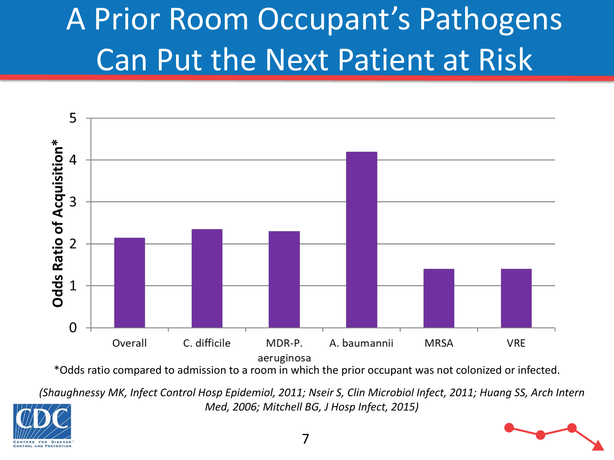## A Prior Room Occupant's Pathogens Can Put the Next Patient at Risk



\*Odds ratio compared to admission to a room in which the prior occupant was not colonized or infected.

*(Shaughnessy MK, Infect Control Hosp Epidemiol, 2011; Nseir S, Clin Microbiol Infect, 2011; Huang SS, Arch Intern Med, 2006; Mitchell BG, J Hosp Infect, 2015)*

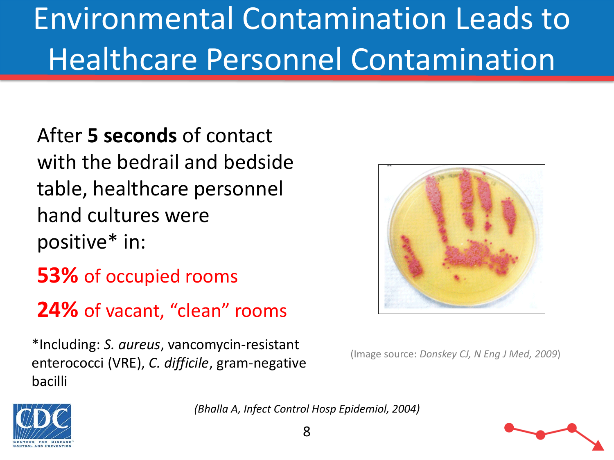## Environmental Contamination Leads to Healthcare Personnel Contamination

After **5 seconds** of contact with the bedrail and bedside table, healthcare personnel hand cultures were positive\* in:

- **53%** of occupied rooms
- **24%** of vacant, "clean" rooms

(Image source: *Donskey CJ, N Eng J Med, 2009*) \*Including: *S. aureus*, vancomycin-resistant enterococci (VRE), *C. difficile*, gram-negative bacilli





*(Bhalla A, Infect Control Hosp Epidemiol, 2004)*



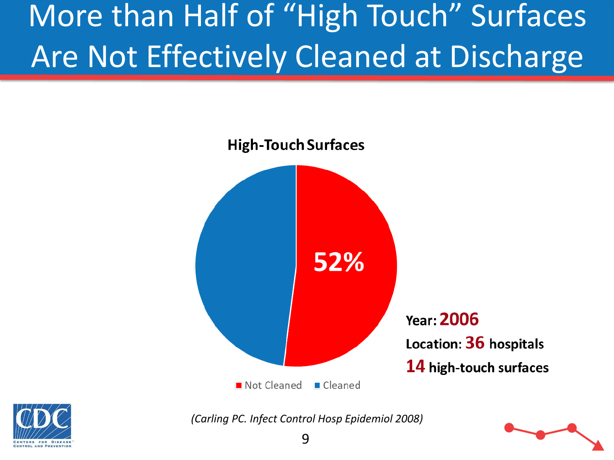## More than Half of "High Touch" Surfaces Are Not Effectively Cleaned at Discharge





*(Carling PC. Infect Control Hosp Epidemiol 2008)*

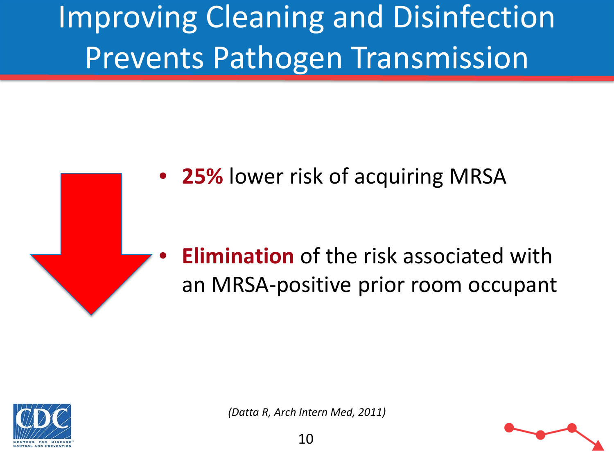Improving Cleaning and Disinfection Prevents Pathogen Transmission



#### • **Elimination** of the risk associated with an MRSA-positive prior room occupant



*(Datta R, Arch Intern Med, 2011)*

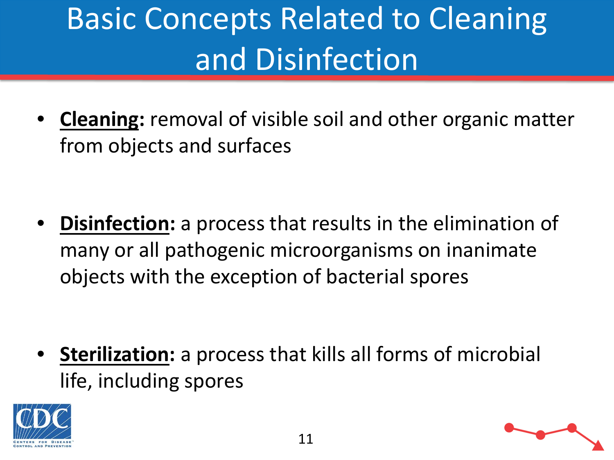## Basic Concepts Related to Cleaning and Disinfection

• **Cleaning:** removal of visible soil and other organic matter from objects and surfaces

• **Disinfection:** a process that results in the elimination of many or all pathogenic microorganisms on inanimate objects with the exception of bacterial spores

• **Sterilization:** a process that kills all forms of microbial life, including spores



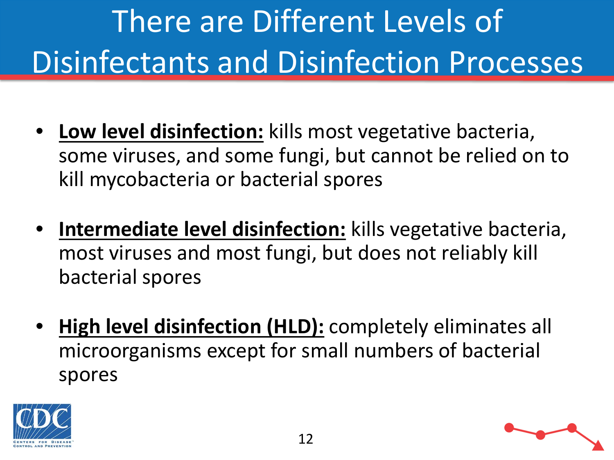# There are Different Levels of Disinfectants and Disinfection Processes

- **Low level disinfection:** kills most vegetative bacteria, some viruses, and some fungi, but cannot be relied on to kill mycobacteria or bacterial spores
- **Intermediate level disinfection:** kills vegetative bacteria, most viruses and most fungi, but does not reliably kill bacterial spores
- **High level disinfection (HLD):** completely eliminates all microorganisms except for small numbers of bacterial spores



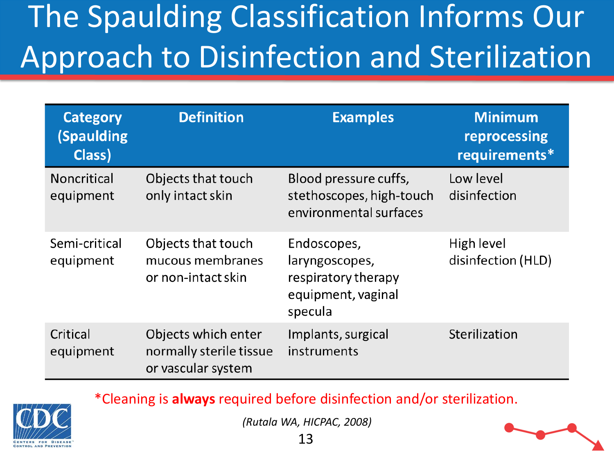## The Spaulding Classification Informs Our Approach to Disinfection and Sterilization

| <b>Category</b><br><b>(Spaulding</b><br>Class) | <b>Definition</b>                                                    | <b>Examples</b>                                                                       | <b>Minimum</b><br>reprocessing<br>requirements* |
|------------------------------------------------|----------------------------------------------------------------------|---------------------------------------------------------------------------------------|-------------------------------------------------|
| Noncritical<br>equipment                       | Objects that touch<br>only intact skin                               | Blood pressure cuffs,<br>stethoscopes, high-touch<br>environmental surfaces           | Low level<br>disinfection                       |
| Semi-critical<br>equipment                     | Objects that touch<br>mucous membranes<br>or non-intact skin         | Endoscopes,<br>laryngoscopes,<br>respiratory therapy<br>equipment, vaginal<br>specula | High level<br>disinfection (HLD)                |
| Critical<br>equipment                          | Objects which enter<br>normally sterile tissue<br>or vascular system | Implants, surgical<br>instruments                                                     | Sterilization                                   |

\*Cleaning is **always** required before disinfection and/or sterilization.

*(Rutala WA, HICPAC, 2008)*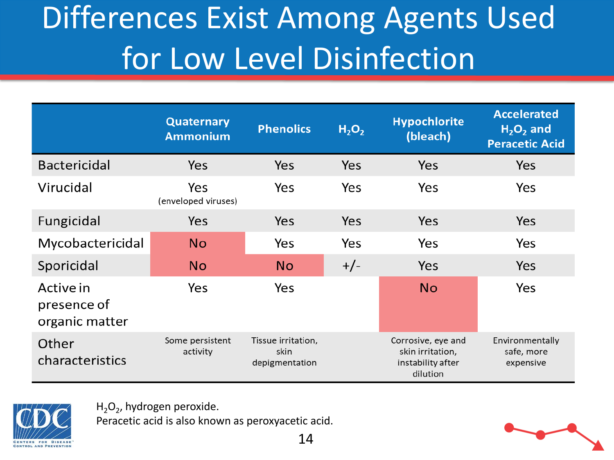## Differences Exist Among Agents Used for Low Level Disinfection

|                                            | <b>Quaternary</b><br><b>Ammonium</b> | <b>Phenolics</b>                             | H <sub>2</sub> O <sub>2</sub> | <b>Hypochlorite</b><br>(bleach)                                         | <b>Accelerated</b><br>$H2O2$ and<br><b>Peracetic Acid</b> |
|--------------------------------------------|--------------------------------------|----------------------------------------------|-------------------------------|-------------------------------------------------------------------------|-----------------------------------------------------------|
| <b>Bactericidal</b>                        | <b>Yes</b>                           | <b>Yes</b>                                   | Yes                           | Yes                                                                     | Yes                                                       |
| Virucidal                                  | Yes<br>(enveloped viruses)           | Yes                                          | Yes                           | Yes                                                                     | Yes                                                       |
| Fungicidal                                 | Yes                                  | <b>Yes</b>                                   | Yes                           | Yes                                                                     | Yes                                                       |
| Mycobactericidal                           | <b>No</b>                            | Yes                                          | Yes                           | Yes                                                                     | Yes                                                       |
| Sporicidal                                 | <b>No</b>                            | <b>No</b>                                    | $+/-$                         | Yes                                                                     | Yes                                                       |
| Active in<br>presence of<br>organic matter | Yes                                  | Yes                                          |                               | <b>No</b>                                                               | Yes                                                       |
| Other<br>characteristics                   | Some persistent<br>activity          | Tissue irritation,<br>skin<br>depigmentation |                               | Corrosive, eye and<br>skin irritation,<br>instability after<br>dilution | Environmentally<br>safe, more<br>expensive                |



 $H_2O_2$ , hydrogen peroxide.

Peracetic acid is also known as peroxyacetic acid.

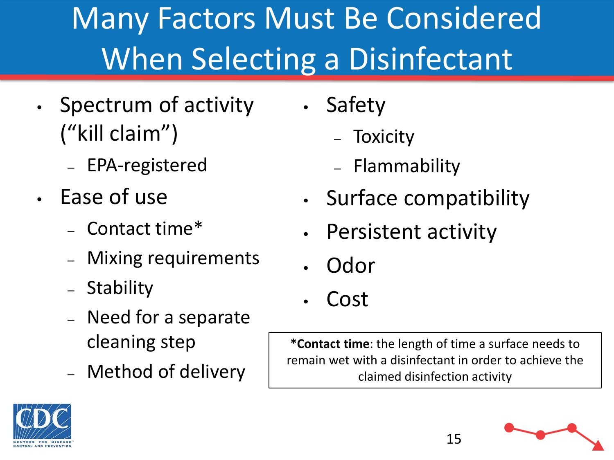## Many Factors Must Be Considered When Selecting a Disinfectant

- Spectrum of activity ("kill claim")
	- EPA-registered
- Ease of use
	- Contact time\*
	- Mixing requirements
	- Stability
	- Need for a separate cleaning step
	- Method of delivery
- Safety
	- Toxicity
	- Flammability
- Surface compatibility
- Persistent activity
- Odor
- Cost

**\*Contact time**: the length of time a surface needs to remain wet with a disinfectant in order to achieve the claimed disinfection activity

15



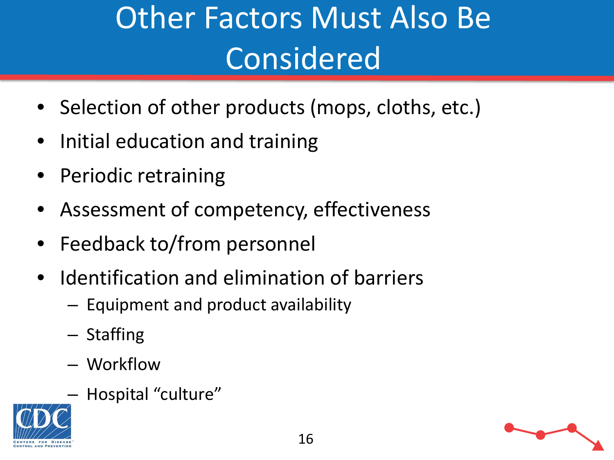## Other Factors Must Also Be Considered

- Selection of other products (mops, cloths, etc.)
- Initial education and training
- Periodic retraining
- Assessment of competency, effectiveness
- Feedback to/from personnel
- Identification and elimination of barriers
	- Equipment and product availability
	- Staffing
	- Workflow
	- Hospital "culture"

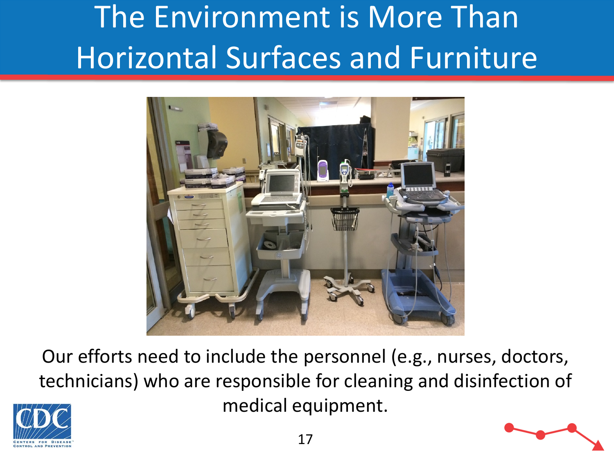## The Environment is More Than Horizontal Surfaces and Furniture



Our efforts need to include the personnel (e.g., nurses, doctors, technicians) who are responsible for cleaning and disinfection of medical equipment.



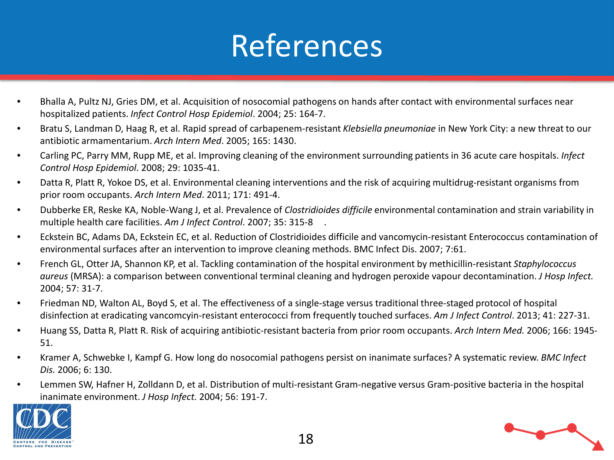#### References

- Bhalla A, Pultz NJ, Gries DM, et al. Acquisition of nosocomial pathogens on hands after contact with environmental surfaces near hospitalized patients. *Infect Control Hosp Epidemiol*. 2004; 25: 164-7.
- Bratu S, Landman D, Haag R, et al. Rapid spread of carbapenem-resistant *Klebsiella pneumoniae* in New York City: a new threat to our antibiotic armamentarium. *Arch Intern Med*. 2005; 165: 1430.
- Carling PC, Parry MM, Rupp ME, et al. Improving cleaning of the environment surrounding patients in 36 acute care hospitals. *Infect Control Hosp Epidemiol*. 2008; 29: 1035-41.
- Datta R, Platt R, Yokoe DS, et al. Environmental cleaning interventions and the risk of acquiring multidrug-resistant organisms from prior room occupants. *Arch Intern Med*. 2011; 171: 491-4.
- Dubberke ER, Reske KA, Noble-Wang J, et al. Prevalence of *Clostridioides difficile* environmental contamination and strain variability in multiple health care facilities. *Am J Infect Control*. 2007; 35: 315-8 .
- Eckstein BC, Adams DA, Eckstein EC, et al. Reduction of Clostridioides difficile and vancomycin-resistant Enterococcus contamination of environmental surfaces after an intervention to improve cleaning methods. BMC Infect Dis. 2007; 7:61.
- French GL, Otter JA, Shannon KP, et al. Tackling contamination of the hospital environment by methicillin-resistant *Staphylococcus aureus* (MRSA): a comparison between conventional terminal cleaning and hydrogen peroxide vapour decontamination. *J Hosp Infect.*  2004; 57: 31-7.
- Friedman ND, Walton AL, Boyd S, et al. The effectiveness of a single-stage versus traditional three-staged protocol of hospital disinfection at eradicating vancomcyin-resistant enterococci from frequently touched surfaces. *Am J Infect Control*. 2013; 41: 227-31.
- Huang SS, Datta R, Platt R. Risk of acquiring antibiotic-resistant bacteria from prior room occupants. *Arch Intern Med.* 2006; 166: 1945- 51.
- Kramer A, Schwebke I, Kampf G. How long do nosocomial pathogens persist on inanimate surfaces? A systematic review. *BMC Infect Dis.* 2006; 6: 130.
- Lemmen SW, Hafner H, Zolldann D, et al. Distribution of multi-resistant Gram-negative versus Gram-positive bacteria in the hospital inanimate environment. *J Hosp Infect.* 2004; 56: 191-7.



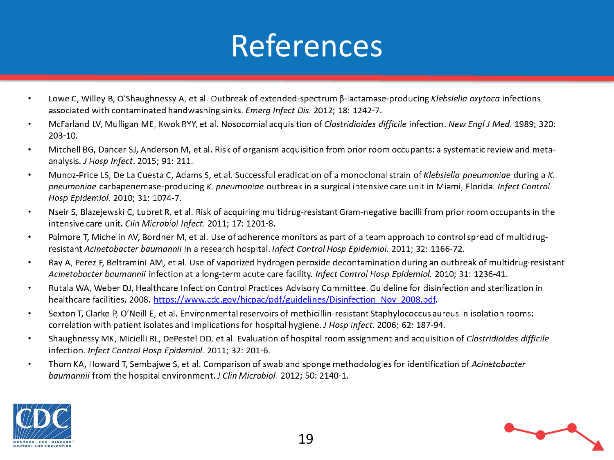#### References

- Lowe C, Willey B, O'Shaughnessy A, et al. Outbreak of extended-spectrum β-lactamase-producing Klebsiella oxytoca infections  $\bullet$ associated with contaminated handwashing sinks. Emerg Infect Dis. 2012; 18: 1242-7.
- McFarland LV, Mulligan ME, Kwok RYY, et al. Nosocomial acquisition of Clostridioides difficile infection. New Engl J Med. 1989; 320:  $\bullet$  $203-10.$
- Mitchell BG, Dancer SJ, Anderson M, et al. Risk of organism acquisition from prior room occupants: a systematic review and meta- $\bullet$ analysis. J Hosp Infect. 2015; 91: 211.
- Munoz-Price LS, De La Cuesta C, Adams S, et al. Successful eradication of a monoclonal strain of Klebsiella pneumoniae during a K.  $\bullet$ pneumoniae carbapenemase-producing K. pneumoniae outbreak in a surgical intensive care unit in Miami, Florida. Infect Control Hosp Epidemiol. 2010; 31: 1074-7.
- Nseir S, Blazejewski C, Lubret R, et al. Risk of acquiring multidrug-resistant Gram-negative bacilli from prior room occupants in the  $\bullet$ intensive care unit. Clin Microbiol Infect. 2011; 17: 1201-8.
- Palmore T, Michelin AV, Bordner M, et al. Use of adherence monitors as part of a team approach to control spread of multidrug- $\bullet$ resistant Acinetobacter baumannii in a research hospital. Infect Control Hosp Epidemiol. 2011; 32: 1166-72.
- Ray A, Perez F, Beltramini AM, et al. Use of vaporized hydrogen peroxide decontamination during an outbreak of multidrug-resistant  $\bullet$ Acinetobacter baumannii infection at a long-term acute care facility. Infect Control Hosp Epidemiol. 2010; 31: 1236-41.
- Rutala WA, Weber DJ, Healthcare Infection Control Practices Advisory Committee. Guideline for disinfection and sterilization in  $\bullet$ healthcare facilities, 2008. https://www.cdc.gov/hicpac/pdf/guidelines/Disinfection Nov 2008.pdf.
- Sexton T, Clarke P, O'Neill E, et al. Environmental reservoirs of methicillin-resistant Staphylococcus aureus in isolation rooms:  $\bullet$ correlation with patient isolates and implications for hospital hygiene. J Hosp Infect. 2006; 62: 187-94.
- Shaughnessy MK, Micielli RL, DePestel DD, et al. Evaluation of hospital room assignment and acquisition of Clostridioides difficile  $\bullet$ infection. Infect Control Hosp Epidemiol. 2011; 32: 201-6.
- Thom KA, Howard T, Sembajwe S, et al. Comparison of swab and sponge methodologies for identification of Acinetobacter  $\bullet$ baumannii from the hospital environment. J Clin Microbiol. 2012; 50: 2140-1.



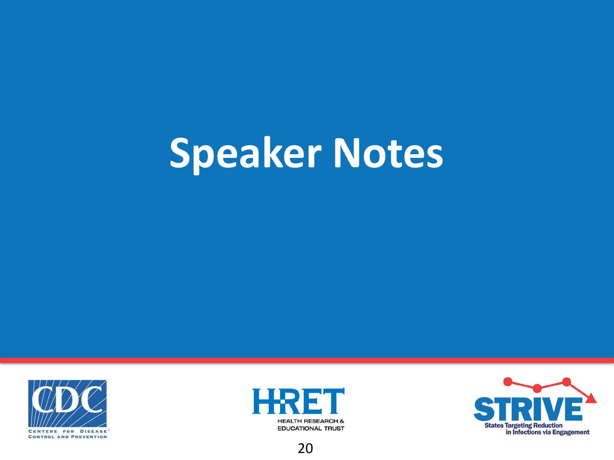# **Speaker Notes**







20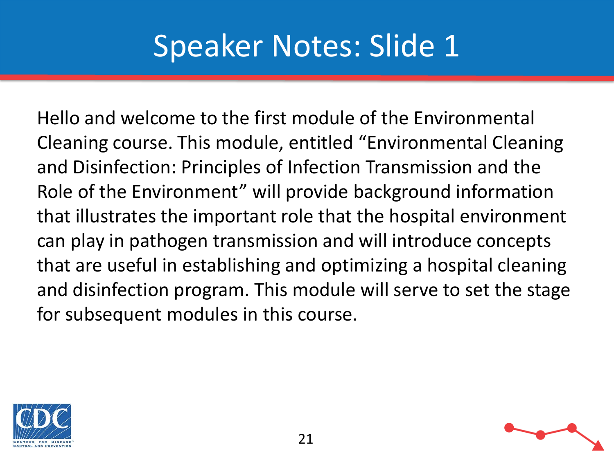Hello and welcome to the first module of the Environmental Cleaning course. This module, entitled "Environmental Cleaning and Disinfection: Principles of Infection Transmission and the Role of the Environment" will provide background information that illustrates the important role that the hospital environment can play in pathogen transmission and will introduce concepts that are useful in establishing and optimizing a hospital cleaning and disinfection program. This module will serve to set the stage for subsequent modules in this course.

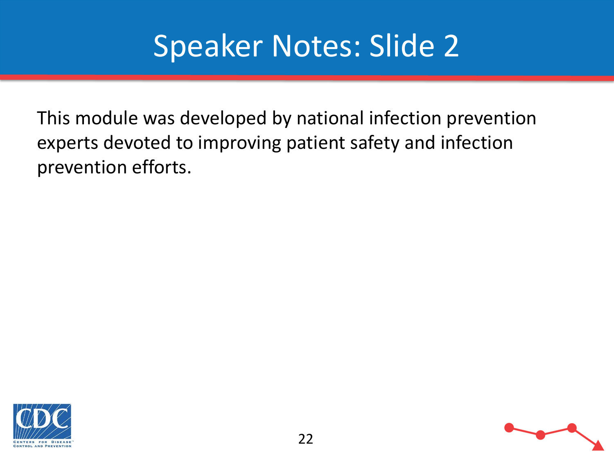This module was developed by national infection prevention experts devoted to improving patient safety and infection prevention efforts.



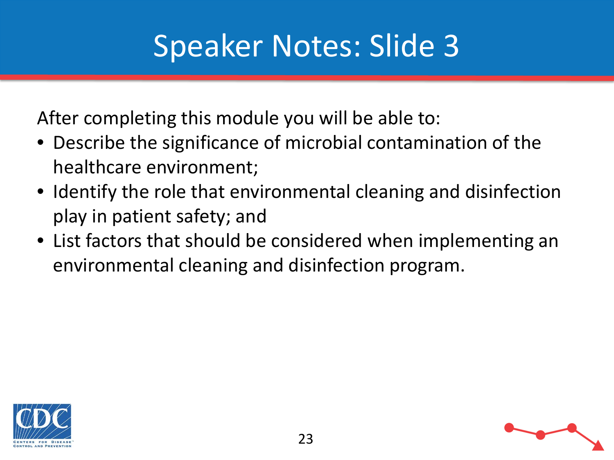After completing this module you will be able to:

- Describe the significance of microbial contamination of the healthcare environment;
- Identify the role that environmental cleaning and disinfection play in patient safety; and
- List factors that should be considered when implementing an environmental cleaning and disinfection program.



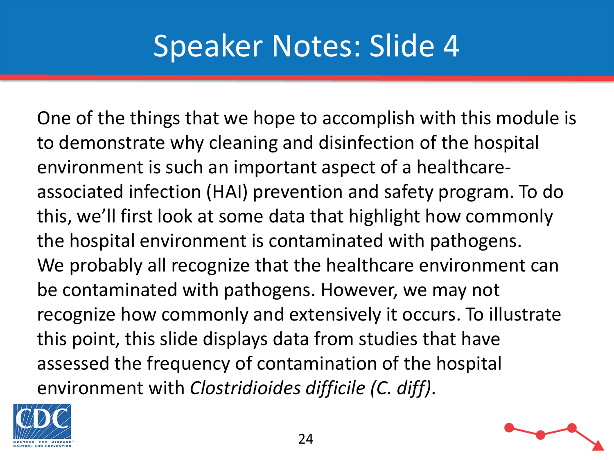One of the things that we hope to accomplish with this module is to demonstrate why cleaning and disinfection of the hospital environment is such an important aspect of a healthcareassociated infection (HAI) prevention and safety program. To do this, we'll first look at some data that highlight how commonly the hospital environment is contaminated with pathogens. We probably all recognize that the healthcare environment can be contaminated with pathogens. However, we may not recognize how commonly and extensively it occurs. To illustrate this point, this slide displays data from studies that have assessed the frequency of contamination of the hospital environment with *Clostridioides difficile (C. diff)*.

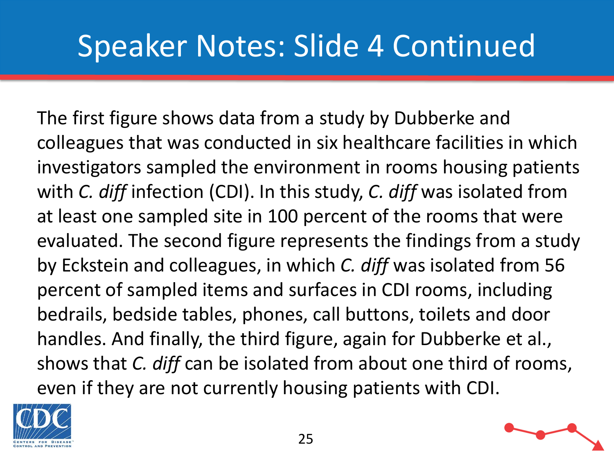#### Speaker Notes: Slide 4 Continued

The first figure shows data from a study by Dubberke and colleagues that was conducted in six healthcare facilities in which investigators sampled the environment in rooms housing patients with *C. diff* infection (CDI). In this study, *C. diff* was isolated from at least one sampled site in 100 percent of the rooms that were evaluated. The second figure represents the findings from a study by Eckstein and colleagues, in which *C. diff* was isolated from 56 percent of sampled items and surfaces in CDI rooms, including bedrails, bedside tables, phones, call buttons, toilets and door handles. And finally, the third figure, again for Dubberke et al., shows that *C. diff* can be isolated from about one third of rooms, even if they are not currently housing patients with CDI.

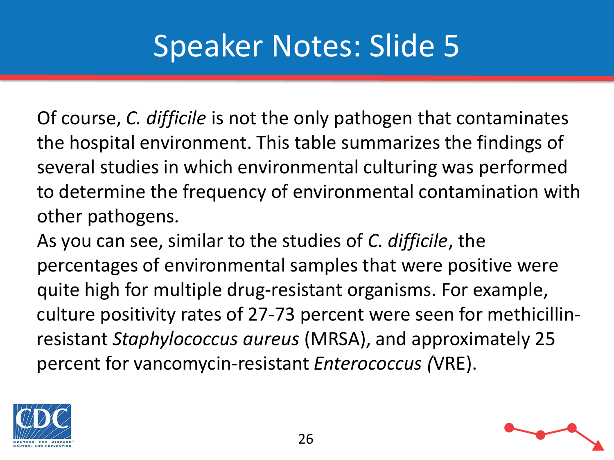Of course, *C. difficile* is not the only pathogen that contaminates the hospital environment. This table summarizes the findings of several studies in which environmental culturing was performed to determine the frequency of environmental contamination with other pathogens.

As you can see, similar to the studies of *C. difficile*, the percentages of environmental samples that were positive were quite high for multiple drug-resistant organisms. For example, culture positivity rates of 27-73 percent were seen for methicillinresistant *Staphylococcus aureus* (MRSA), and approximately 25 percent for vancomycin-resistant *Enterococcus (*VRE).



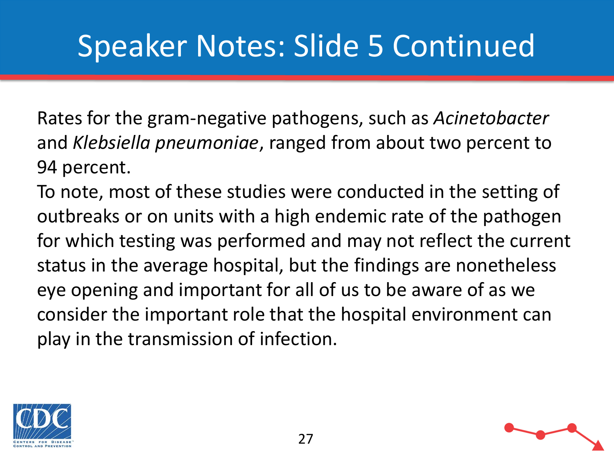#### Speaker Notes: Slide 5 Continued

Rates for the gram-negative pathogens, such as *Acinetobacter* and *Klebsiella pneumoniae*, ranged from about two percent to 94 percent.

To note, most of these studies were conducted in the setting of outbreaks or on units with a high endemic rate of the pathogen for which testing was performed and may not reflect the current status in the average hospital, but the findings are nonetheless eye opening and important for all of us to be aware of as we consider the important role that the hospital environment can play in the transmission of infection.



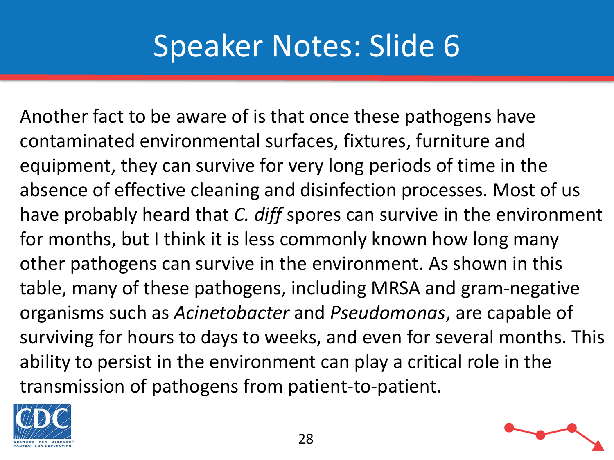Another fact to be aware of is that once these pathogens have contaminated environmental surfaces, fixtures, furniture and equipment, they can survive for very long periods of time in the absence of effective cleaning and disinfection processes. Most of us have probably heard that *C. diff* spores can survive in the environment for months, but I think it is less commonly known how long many other pathogens can survive in the environment. As shown in this table, many of these pathogens, including MRSA and gram-negative organisms such as *Acinetobacter* and *Pseudomonas*, are capable of surviving for hours to days to weeks, and even for several months. This ability to persist in the environment can play a critical role in the transmission of pathogens from patient-to-patient.

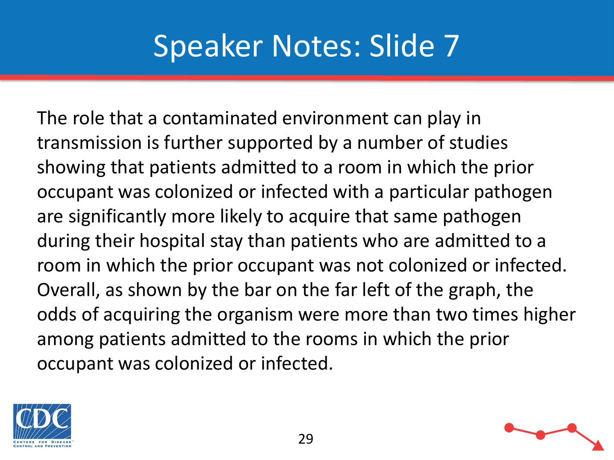The role that a contaminated environment can play in transmission is further supported by a number of studies showing that patients admitted to a room in which the prior occupant was colonized or infected with a particular pathogen are significantly more likely to acquire that same pathogen during their hospital stay than patients who are admitted to a room in which the prior occupant was not colonized or infected. Overall, as shown by the bar on the far left of the graph, the odds of acquiring the organism were more than two times higher among patients admitted to the rooms in which the prior occupant was colonized or infected.



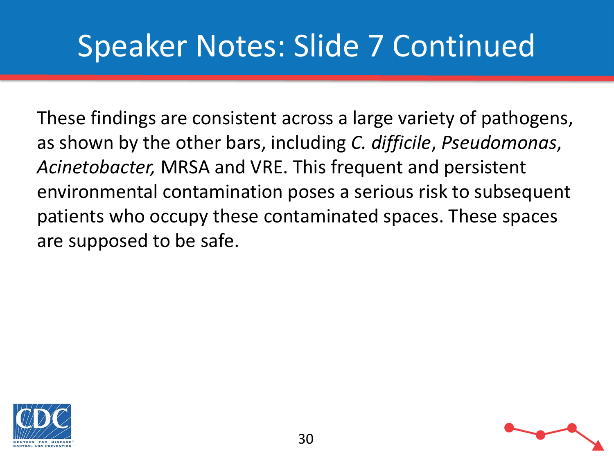### Speaker Notes: Slide 7 Continued

These findings are consistent across a large variety of pathogens, as shown by the other bars, including *C. difficile*, *Pseudomonas*, *Acinetobacter,* MRSA and VRE. This frequent and persistent environmental contamination poses a serious risk to subsequent patients who occupy these contaminated spaces. These spaces are supposed to be safe.



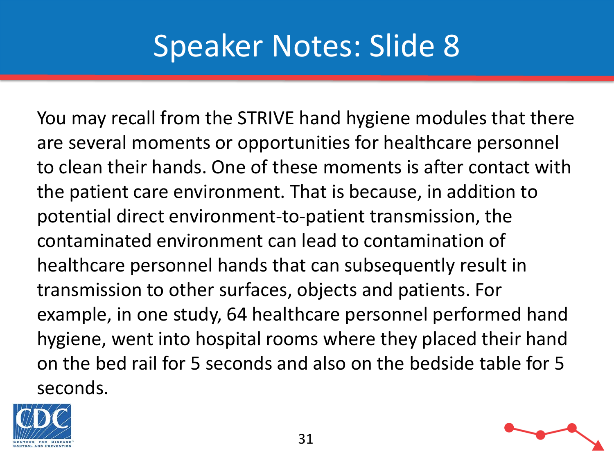You may recall from the STRIVE hand hygiene modules that there are several moments or opportunities for healthcare personnel to clean their hands. One of these moments is after contact with the patient care environment. That is because, in addition to potential direct environment-to-patient transmission, the contaminated environment can lead to contamination of healthcare personnel hands that can subsequently result in transmission to other surfaces, objects and patients. For example, in one study, 64 healthcare personnel performed hand hygiene, went into hospital rooms where they placed their hand on the bed rail for 5 seconds and also on the bedside table for 5 seconds.

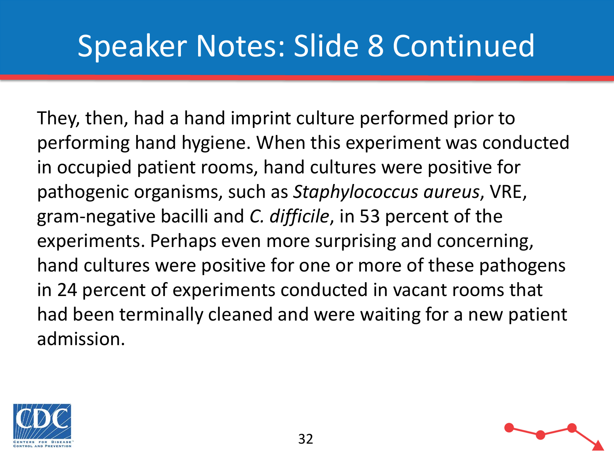#### Speaker Notes: Slide 8 Continued

They, then, had a hand imprint culture performed prior to performing hand hygiene. When this experiment was conducted in occupied patient rooms, hand cultures were positive for pathogenic organisms, such as *Staphylococcus aureus*, VRE, gram-negative bacilli and *C. difficile*, in 53 percent of the experiments. Perhaps even more surprising and concerning, hand cultures were positive for one or more of these pathogens in 24 percent of experiments conducted in vacant rooms that had been terminally cleaned and were waiting for a new patient admission.



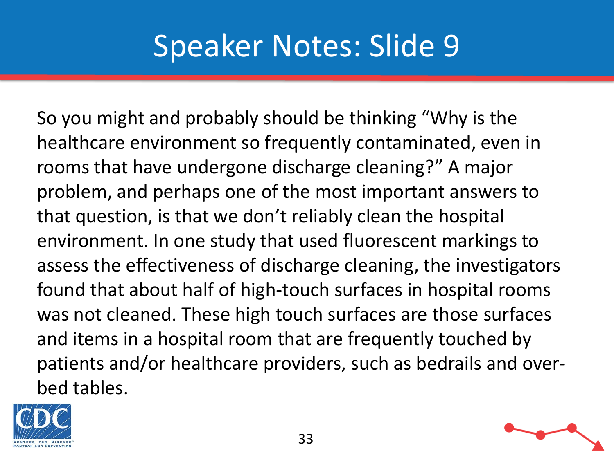So you might and probably should be thinking "Why is the healthcare environment so frequently contaminated, even in rooms that have undergone discharge cleaning?" A major problem, and perhaps one of the most important answers to that question, is that we don't reliably clean the hospital environment. In one study that used fluorescent markings to assess the effectiveness of discharge cleaning, the investigators found that about half of high-touch surfaces in hospital rooms was not cleaned. These high touch surfaces are those surfaces and items in a hospital room that are frequently touched by patients and/or healthcare providers, such as bedrails and overbed tables.



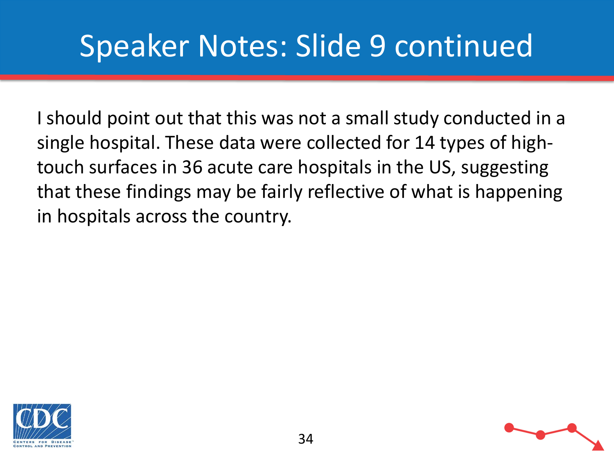#### Speaker Notes: Slide 9 continued

I should point out that this was not a small study conducted in a single hospital. These data were collected for 14 types of hightouch surfaces in 36 acute care hospitals in the US, suggesting that these findings may be fairly reflective of what is happening in hospitals across the country.



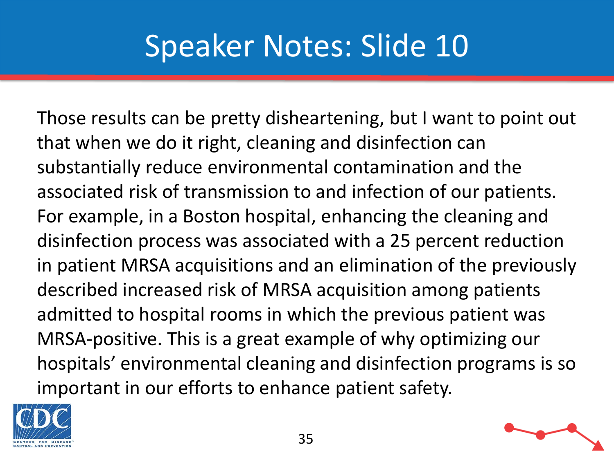Those results can be pretty disheartening, but I want to point out that when we do it right, cleaning and disinfection can substantially reduce environmental contamination and the associated risk of transmission to and infection of our patients. For example, in a Boston hospital, enhancing the cleaning and disinfection process was associated with a 25 percent reduction in patient MRSA acquisitions and an elimination of the previously described increased risk of MRSA acquisition among patients admitted to hospital rooms in which the previous patient was MRSA-positive. This is a great example of why optimizing our hospitals' environmental cleaning and disinfection programs is so important in our efforts to enhance patient safety.



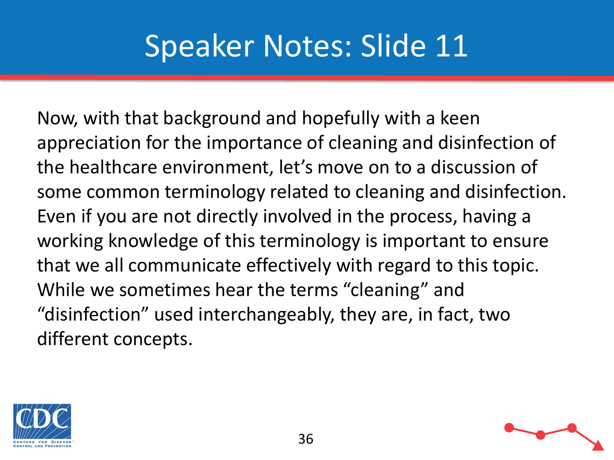Now, with that background and hopefully with a keen appreciation for the importance of cleaning and disinfection of the healthcare environment, let's move on to a discussion of some common terminology related to cleaning and disinfection. Even if you are not directly involved in the process, having a working knowledge of this terminology is important to ensure that we all communicate effectively with regard to this topic. While we sometimes hear the terms "cleaning" and "disinfection" used interchangeably, they are, in fact, two different concepts.



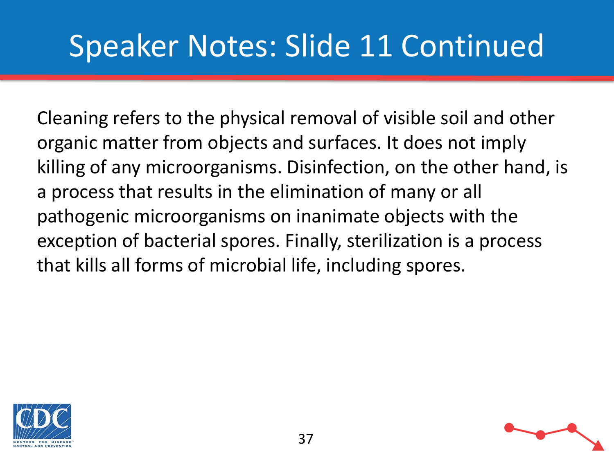## Speaker Notes: Slide 11 Continued

Cleaning refers to the physical removal of visible soil and other organic matter from objects and surfaces. It does not imply killing of any microorganisms. Disinfection, on the other hand, is a process that results in the elimination of many or all pathogenic microorganisms on inanimate objects with the exception of bacterial spores. Finally, sterilization is a process that kills all forms of microbial life, including spores.

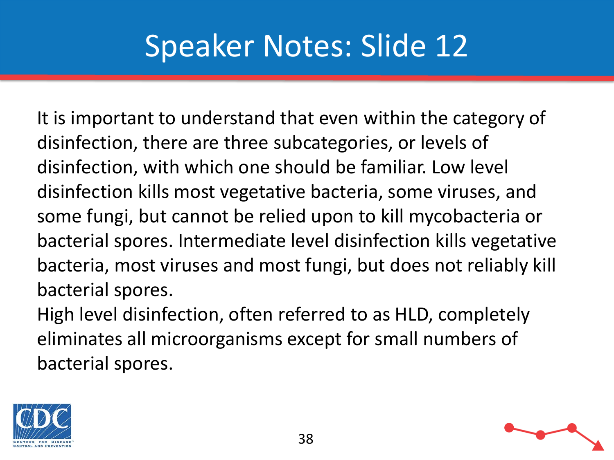It is important to understand that even within the category of disinfection, there are three subcategories, or levels of disinfection, with which one should be familiar. Low level disinfection kills most vegetative bacteria, some viruses, and some fungi, but cannot be relied upon to kill mycobacteria or bacterial spores. Intermediate level disinfection kills vegetative bacteria, most viruses and most fungi, but does not reliably kill bacterial spores.

High level disinfection, often referred to as HLD, completely eliminates all microorganisms except for small numbers of bacterial spores.



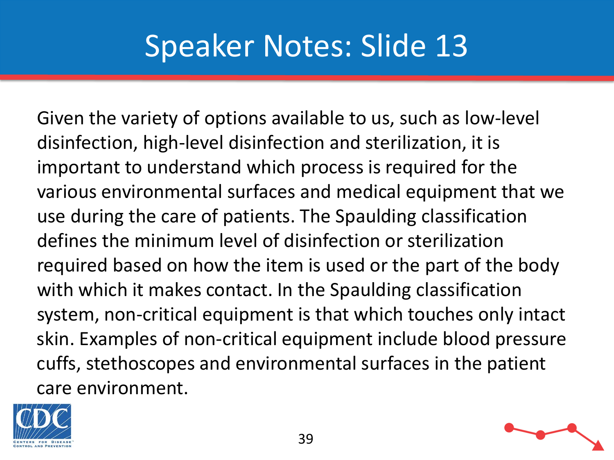Given the variety of options available to us, such as low-level disinfection, high-level disinfection and sterilization, it is important to understand which process is required for the various environmental surfaces and medical equipment that we use during the care of patients. The Spaulding classification defines the minimum level of disinfection or sterilization required based on how the item is used or the part of the body with which it makes contact. In the Spaulding classification system, non-critical equipment is that which touches only intact skin. Examples of non-critical equipment include blood pressure cuffs, stethoscopes and environmental surfaces in the patient care environment.



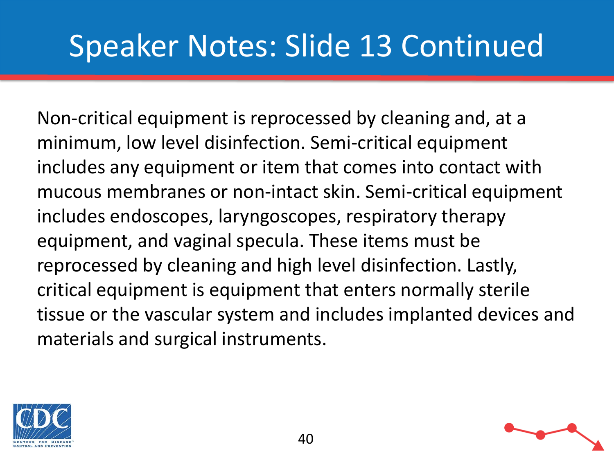#### Speaker Notes: Slide 13 Continued

Non-critical equipment is reprocessed by cleaning and, at a minimum, low level disinfection. Semi-critical equipment includes any equipment or item that comes into contact with mucous membranes or non-intact skin. Semi-critical equipment includes endoscopes, laryngoscopes, respiratory therapy equipment, and vaginal specula. These items must be reprocessed by cleaning and high level disinfection. Lastly, critical equipment is equipment that enters normally sterile tissue or the vascular system and includes implanted devices and materials and surgical instruments.

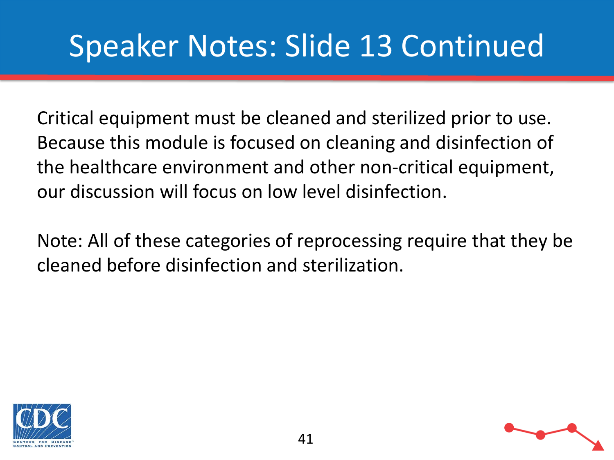## Speaker Notes: Slide 13 Continued

Critical equipment must be cleaned and sterilized prior to use. Because this module is focused on cleaning and disinfection of the healthcare environment and other non-critical equipment, our discussion will focus on low level disinfection.

Note: All of these categories of reprocessing require that they be cleaned before disinfection and sterilization.



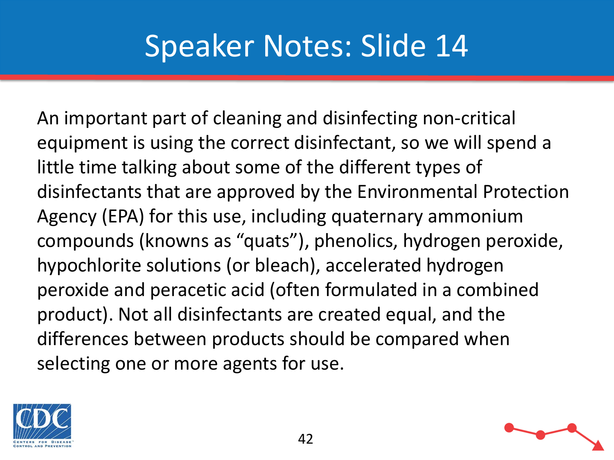An important part of cleaning and disinfecting non-critical equipment is using the correct disinfectant, so we will spend a little time talking about some of the different types of disinfectants that are approved by the Environmental Protection Agency (EPA) for this use, including quaternary ammonium compounds (knowns as "quats"), phenolics, hydrogen peroxide, hypochlorite solutions (or bleach), accelerated hydrogen peroxide and peracetic acid (often formulated in a combined product). Not all disinfectants are created equal, and the differences between products should be compared when selecting one or more agents for use.



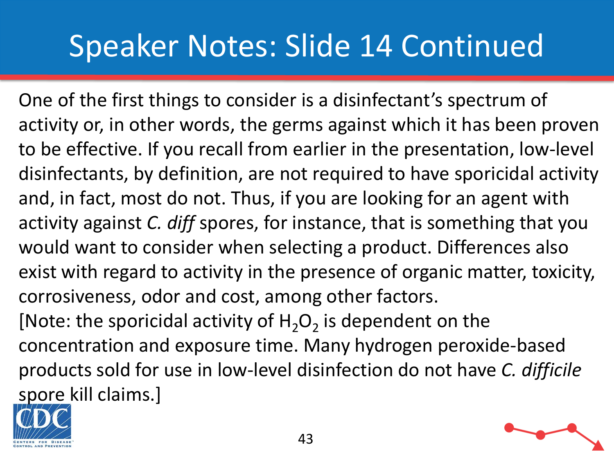#### Speaker Notes: Slide 14 Continued

One of the first things to consider is a disinfectant's spectrum of activity or, in other words, the germs against which it has been proven to be effective. If you recall from earlier in the presentation, low-level disinfectants, by definition, are not required to have sporicidal activity and, in fact, most do not. Thus, if you are looking for an agent with activity against *C. diff* spores, for instance, that is something that you would want to consider when selecting a product. Differences also exist with regard to activity in the presence of organic matter, toxicity, corrosiveness, odor and cost, among other factors. [Note: the sporicidal activity of  $H_2O_2$  is dependent on the concentration and exposure time. Many hydrogen peroxide-based products sold for use in low-level disinfection do not have *C. difficile*  spore kill claims.]



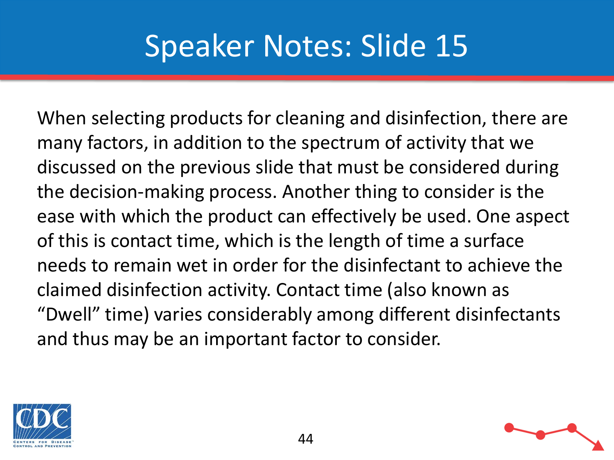When selecting products for cleaning and disinfection, there are many factors, in addition to the spectrum of activity that we discussed on the previous slide that must be considered during the decision-making process. Another thing to consider is the ease with which the product can effectively be used. One aspect of this is contact time, which is the length of time a surface needs to remain wet in order for the disinfectant to achieve the claimed disinfection activity. Contact time (also known as "Dwell" time) varies considerably among different disinfectants and thus may be an important factor to consider.

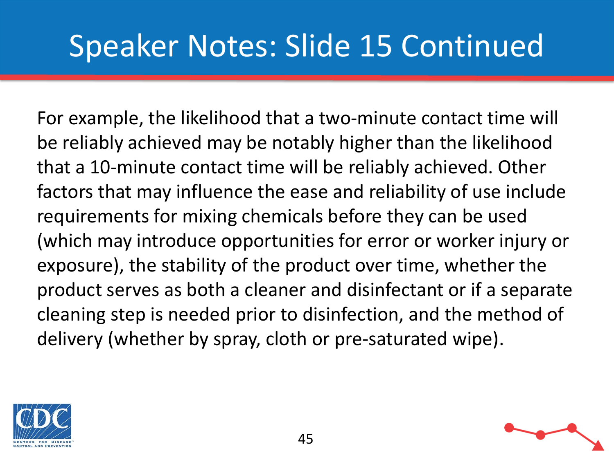## Speaker Notes: Slide 15 Continued

For example, the likelihood that a two-minute contact time will be reliably achieved may be notably higher than the likelihood that a 10-minute contact time will be reliably achieved. Other factors that may influence the ease and reliability of use include requirements for mixing chemicals before they can be used (which may introduce opportunities for error or worker injury or exposure), the stability of the product over time, whether the product serves as both a cleaner and disinfectant or if a separate cleaning step is needed prior to disinfection, and the method of delivery (whether by spray, cloth or pre-saturated wipe).



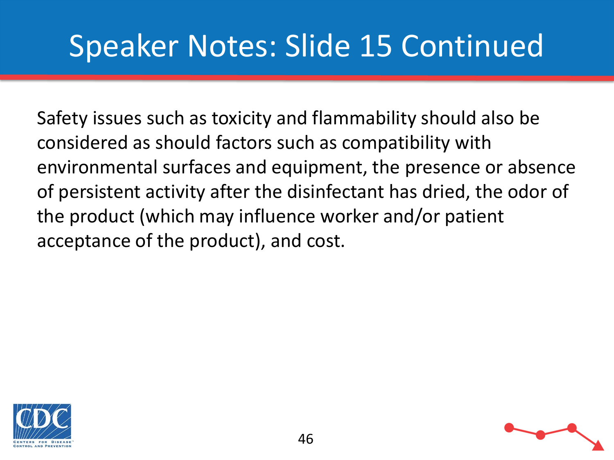## Speaker Notes: Slide 15 Continued

Safety issues such as toxicity and flammability should also be considered as should factors such as compatibility with environmental surfaces and equipment, the presence or absence of persistent activity after the disinfectant has dried, the odor of the product (which may influence worker and/or patient acceptance of the product), and cost.

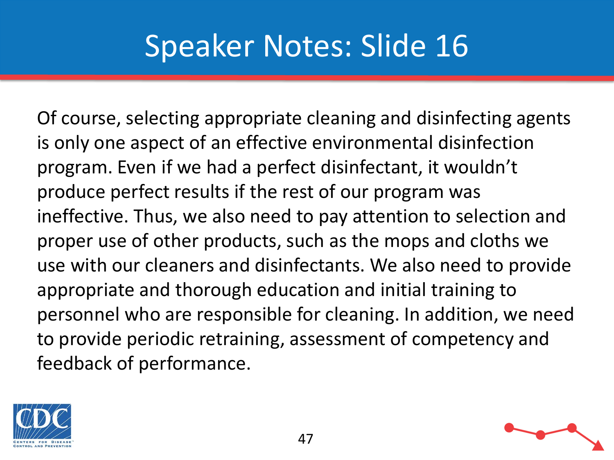Of course, selecting appropriate cleaning and disinfecting agents is only one aspect of an effective environmental disinfection program. Even if we had a perfect disinfectant, it wouldn't produce perfect results if the rest of our program was ineffective. Thus, we also need to pay attention to selection and proper use of other products, such as the mops and cloths we use with our cleaners and disinfectants. We also need to provide appropriate and thorough education and initial training to personnel who are responsible for cleaning. In addition, we need to provide periodic retraining, assessment of competency and feedback of performance.

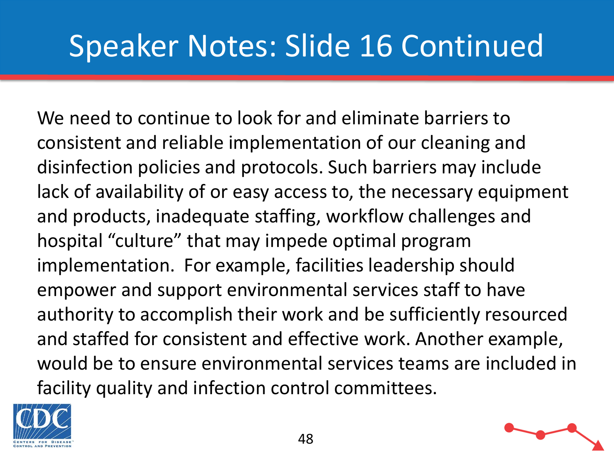#### Speaker Notes: Slide 16 Continued

We need to continue to look for and eliminate barriers to consistent and reliable implementation of our cleaning and disinfection policies and protocols. Such barriers may include lack of availability of or easy access to, the necessary equipment and products, inadequate staffing, workflow challenges and hospital "culture" that may impede optimal program implementation. For example, facilities leadership should empower and support environmental services staff to have authority to accomplish their work and be sufficiently resourced and staffed for consistent and effective work. Another example, would be to ensure environmental services teams are included in facility quality and infection control committees.



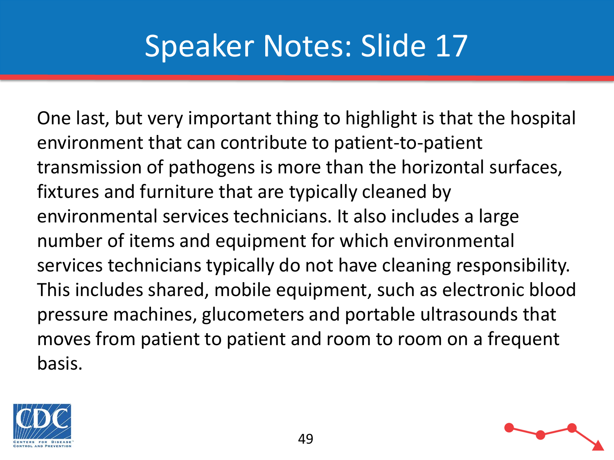One last, but very important thing to highlight is that the hospital environment that can contribute to patient-to-patient transmission of pathogens is more than the horizontal surfaces, fixtures and furniture that are typically cleaned by environmental services technicians. It also includes a large number of items and equipment for which environmental services technicians typically do not have cleaning responsibility. This includes shared, mobile equipment, such as electronic blood pressure machines, glucometers and portable ultrasounds that moves from patient to patient and room to room on a frequent basis.



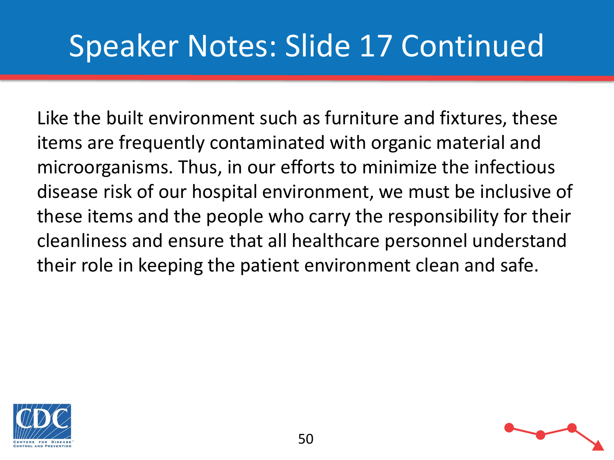## Speaker Notes: Slide 17 Continued

Like the built environment such as furniture and fixtures, these items are frequently contaminated with organic material and microorganisms. Thus, in our efforts to minimize the infectious disease risk of our hospital environment, we must be inclusive of these items and the people who carry the responsibility for their cleanliness and ensure that all healthcare personnel understand their role in keeping the patient environment clean and safe.



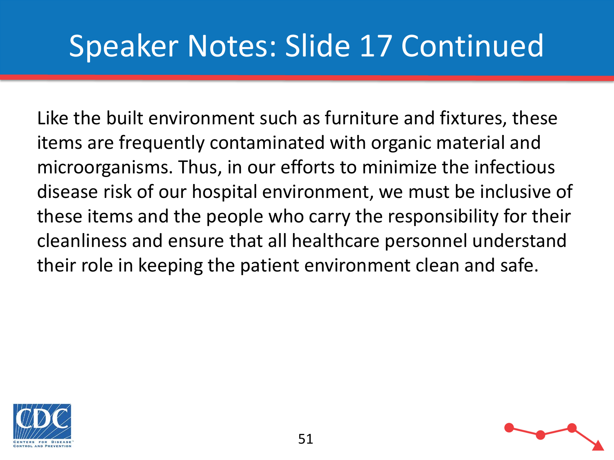## Speaker Notes: Slide 17 Continued

Like the built environment such as furniture and fixtures, these items are frequently contaminated with organic material and microorganisms. Thus, in our efforts to minimize the infectious disease risk of our hospital environment, we must be inclusive of these items and the people who carry the responsibility for their cleanliness and ensure that all healthcare personnel understand their role in keeping the patient environment clean and safe.



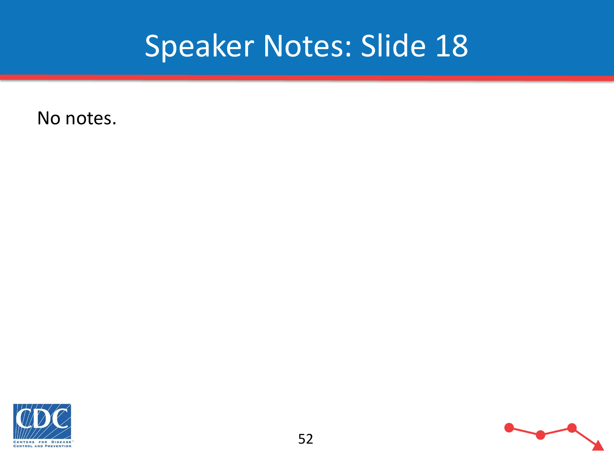No notes.